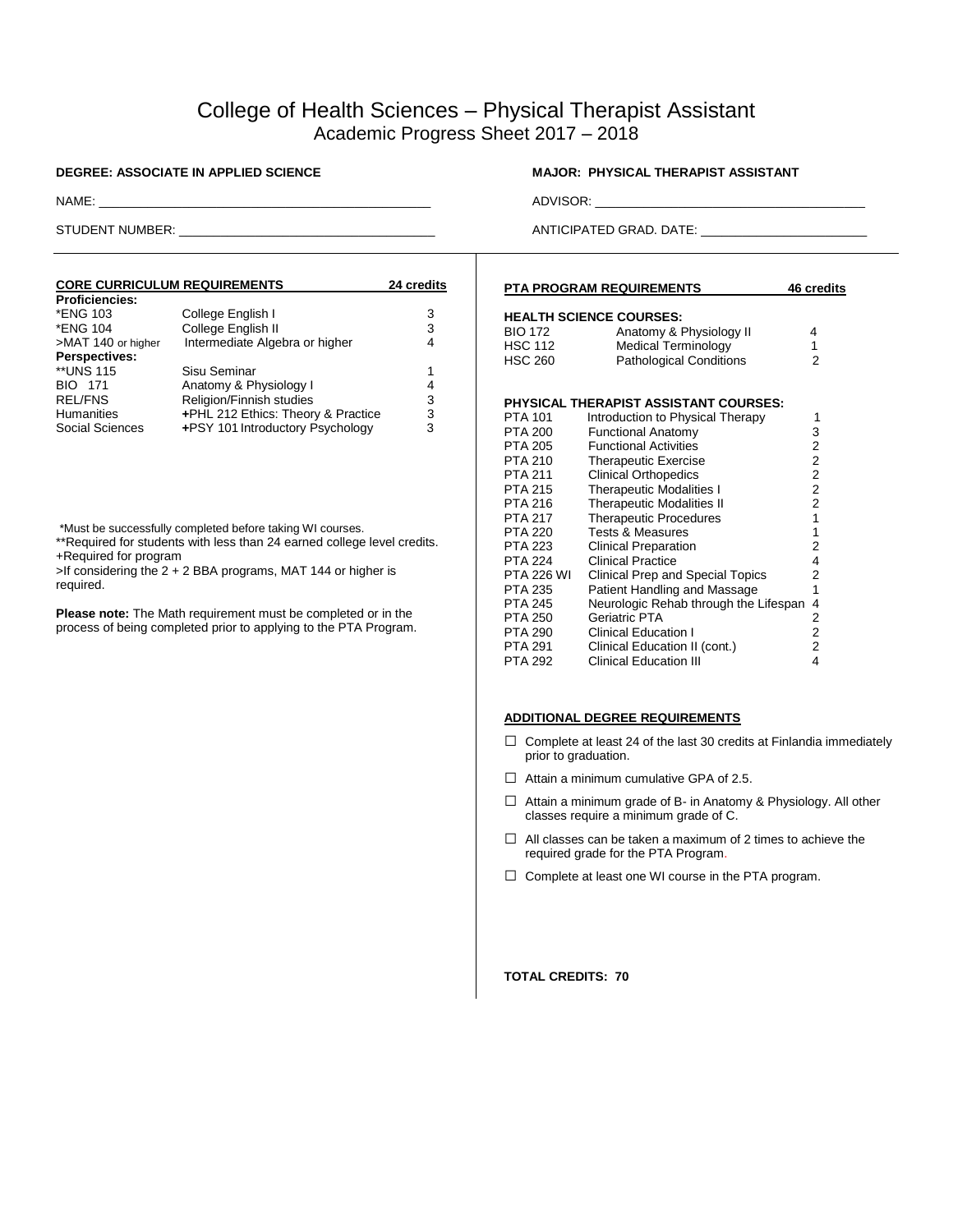# College of Health Sciences – Physical Therapist Assistant Academic Progress Sheet 2017 – 2018

| <b>CORE CURRICULUM REQUIREMENTS</b><br><b>24 credits</b> |   |  |  |
|----------------------------------------------------------|---|--|--|
|                                                          |   |  |  |
| College English I                                        | 3 |  |  |
| College English II                                       | 3 |  |  |
| Intermediate Algebra or higher                           | 4 |  |  |
|                                                          |   |  |  |
| Sisu Seminar                                             | 1 |  |  |
| Anatomy & Physiology I                                   | 4 |  |  |
| Religion/Finnish studies                                 | 3 |  |  |
| +PHL 212 Ethics: Theory & Practice                       | 3 |  |  |
| +PSY 101 Introductory Psychology                         | 3 |  |  |
|                                                          |   |  |  |

\*Must be successfully completed before taking WI courses.

\*\*Required for students with less than 24 earned college level credits. +Required for program

>If considering the 2 + 2 BBA programs, MAT 144 or higher is required.

**Please note:** The Math requirement must be completed or in the process of being completed prior to applying to the PTA Program.

## **DEGREE: ASSOCIATE IN APPLIED SCIENCE MANUS ASSISTANT MAJOR: PHYSICAL THERAPIST ASSISTANT**

NAME: \_\_\_\_\_\_\_\_\_\_\_\_\_\_\_\_\_\_\_\_\_\_\_\_\_\_\_\_\_\_\_\_\_\_\_\_\_\_\_\_\_\_\_\_\_\_\_\_ ADVISOR: \_\_\_\_\_\_\_\_\_\_\_\_\_\_\_\_\_\_\_\_\_\_\_\_\_\_\_\_\_\_\_\_\_\_\_\_\_\_\_

STUDENT NUMBER: \_\_\_\_\_\_\_\_\_\_\_\_\_\_\_\_\_\_\_\_\_\_\_\_\_\_\_\_\_\_\_\_\_\_\_\_\_ ANTICIPATED GRAD. DATE: \_\_\_\_\_\_\_\_\_\_\_\_\_\_\_\_\_\_\_\_\_\_\_\_

| <b>PTA PROGRAM REQUIREMENTS</b><br>46 credits      |                                                                                                                           |                          |  |
|----------------------------------------------------|---------------------------------------------------------------------------------------------------------------------------|--------------------------|--|
| <b>BIO 172</b><br><b>HSC 112</b><br><b>HSC 260</b> | <b>HEALTH SCIENCE COURSES:</b><br>Anatomy & Physiology II<br><b>Medical Terminology</b><br><b>Pathological Conditions</b> | 4<br>1<br>$\overline{2}$ |  |
|                                                    | PHYSICAL THERAPIST ASSISTANT COURSES:                                                                                     |                          |  |
| <b>PTA 101</b>                                     | Introduction to Physical Therapy                                                                                          | 1                        |  |
| PTA 200                                            | <b>Functional Anatomy</b>                                                                                                 | 3                        |  |
| PTA 205                                            | <b>Functional Activities</b>                                                                                              | 2                        |  |
| <b>PTA 210</b>                                     | <b>Therapeutic Exercise</b>                                                                                               | 2                        |  |
| <b>PTA 211</b>                                     | <b>Clinical Orthopedics</b>                                                                                               | $\overline{2}$           |  |
| <b>PTA 215</b>                                     | <b>Therapeutic Modalities I</b>                                                                                           | 2                        |  |
| PTA 216                                            | <b>Therapeutic Modalities II</b>                                                                                          | $\overline{\mathbf{c}}$  |  |
| <b>PTA 217</b>                                     | <b>Therapeutic Procedures</b>                                                                                             | $\mathbf{1}$             |  |
| <b>PTA 220</b>                                     | <b>Tests &amp; Measures</b>                                                                                               | 1                        |  |
| <b>PTA 223</b>                                     | Clinical Preparation                                                                                                      | 2                        |  |
| <b>PTA 224</b>                                     | <b>Clinical Practice</b>                                                                                                  | 4                        |  |
| <b>PTA 226 WI</b>                                  | Clinical Prep and Special Topics                                                                                          | 2                        |  |
| <b>PTA 235</b>                                     | Patient Handling and Massage                                                                                              | 1                        |  |
| <b>PTA 245</b>                                     | Neurologic Rehab through the Lifespan                                                                                     | 4                        |  |
| <b>PTA 250</b>                                     | Geriatric PTA                                                                                                             | 2                        |  |
| PTA 290                                            | <b>Clinical Education I</b>                                                                                               | $\overline{2}$           |  |
| <b>PTA 291</b>                                     | Clinical Education II (cont.)                                                                                             | 2                        |  |
| <b>PTA 292</b>                                     | <b>Clinical Education III</b>                                                                                             | 4                        |  |

### **ADDITIONAL DEGREE REQUIREMENTS**

- $\Box$  Complete at least 24 of the last 30 credits at Finlandia immediately prior to graduation.
- $\Box$  Attain a minimum cumulative GPA of 2.5.
- □ Attain a minimum grade of B- in Anatomy & Physiology. All other classes require a minimum grade of C.
- $\Box$  All classes can be taken a maximum of 2 times to achieve the required grade for the PTA Program.
- □ Complete at least one WI course in the PTA program.

**TOTAL CREDITS: 70**